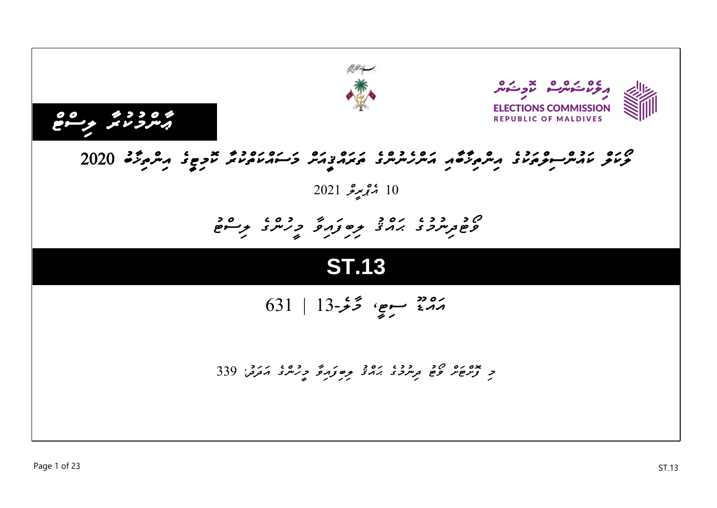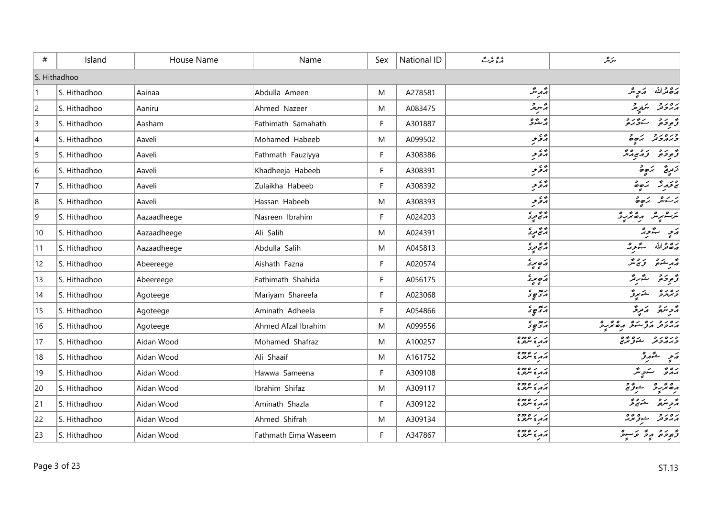| #              | Island       | House Name  | Name                 | Sex         | National ID | ، ه ، ره<br>مر، مر              | ىئرىتر                                        |
|----------------|--------------|-------------|----------------------|-------------|-------------|---------------------------------|-----------------------------------------------|
|                | S. Hithadhoo |             |                      |             |             |                                 |                                               |
|                | S. Hithadhoo | Aainaa      | Abdulla Ameen        | M           | A278581     | لتجمه يتمه                      | رجى قىراللە    مەھرىشە                        |
| $\overline{c}$ | S. Hithadhoo | Aaniru      | Ahmed Nazeer         | M           | A083475     | رمسر پر                         | پروتر ستوپر                                   |
| 3              | S. Hithadhoo | Aasham      | Fathimath Samahath   | F           | A301887     | ۇ شەھ                           | أو دو دورو                                    |
| 4              | S. Hithadhoo | Aaveli      | Mohamed Habeeb       | M           | A099502     | پژځ مخه                         | 2010 2012                                     |
| 5              | S. Hithadhoo | Aaveli      | Fathmath Fauziyya    | F           | A308386     | وحمحر                           | توجدة تمديد                                   |
| $\,$ 6         | S. Hithadhoo | Aaveli      | Khadheeja Habeeb     | F           | A308391     | وحمحر                           | كترقح كمنهج                                   |
| $\overline{7}$ | S. Hithadhoo | Aaveli      | Zulaikha Habeeb      | $\mathsf F$ | A308392     | ومحمو                           | ور د کوه<br>مخبر د                            |
| 8              | S. Hithadhoo | Aaveli      | Hassan Habeeb        | ${\sf M}$   | A308393     | پژځ مخه                         | $z$ $z$ $z$ $z$                               |
| 9              | S. Hithadhoo | Aazaadheege | Nasreen Ibrahim      | F           | A024203     | پر پر ہے<br>آر بح توری          | بتر شمېر شره پر ده تر پر د                    |
| 10             | S. Hithadhoo | Aazaadheege | Ali Salih            | M           | A024391     | ا پر پچ ور م<br>اگر پچ ور پ     | أريمو الشعرور                                 |
| 11             | S. Hithadhoo | Aazaadheege | Abdulla Salih        | M           | A045813     | پرځمني تور <sup>ج</sup>         | رەقراللە گەج                                  |
| 12             | S. Hithadhoo | Abeereege   | Aishath Fazna        | F           | A020574     | ړه بر د<br>د و                  | و مرد ديگر ديگر<br>مرد شوه کوچ مگر            |
| 13             | S. Hithadhoo | Abeereege   | Fathimath Shahida    | $\mathsf F$ | A056175     | ړې برگه<br>د ځ                  | و ده څرنگه                                    |
| 14             | S. Hithadhoo | Agoteege    | Mariyam Shareefa     | $\mathsf F$ | A023068     | ریو ء<br> مری جو د              | و ه ده د شورگر                                |
| 15             | S. Hithadhoo | Agoteege    | Aminath Adheela      | F           | A054866     | دبر<br>د د یو د                 | أأدمنتم أأترقى                                |
| 16             | S. Hithadhoo | Agoteege    | Ahmed Afzal Ibrahim  | M           | A099556     | ریو ۽<br>  ريو تو ت             | رەر دەرەر دەر ھەر                             |
| 17             | S. Hithadhoo | Aidan Wood  | Mohamed Shafraz      | M           | A100257     | أرمر ۽ مرحو ۽                   | وره رو ده ده<br><mark>وبردونر شوتوبر</mark> ی |
| 18             | S. Hithadhoo | Aidan Wood  | Ali Shaaif           | M           | A161752     | $rac{1}{2}$                     | ړې شمرو<br>مړ                                 |
| 19             | S. Hithadhoo | Aidan Wood  | Hawwa Sameena        | F           | A309108     |                                 | رەۋ ش <i>ۈپى</i> گە                           |
| 20             | S. Hithadhoo | Aidan Wood  | Ibrahim Shifaz       | M           | A309117     | أربر با معروفا                  | ە ھەترىرى<br>رەھىرىرى<br>ے تو گر ج            |
| 21             | S. Hithadhoo | Aidan Wood  | Aminath Shazla       | F           | A309122     | أربر بأ مرجوع                   | أثرجه تنزه<br>شەرە ئە                         |
| 22             | S. Hithadhoo | Aidan Wood  | Ahmed Shifrah        | M           | A309134     | ג'ו ג' מפקס<br>  ג'ו ג' ייעם ג' | بره بر د<br>مرگ<br>ے و <i>9 مگر</i><br>مر     |
| 23             | S. Hithadhoo | Aidan Wood  | Fathmath Eima Waseem | F.          | A347867     |                                 | ڙوڌو رِڙ وَٻِڙ                                |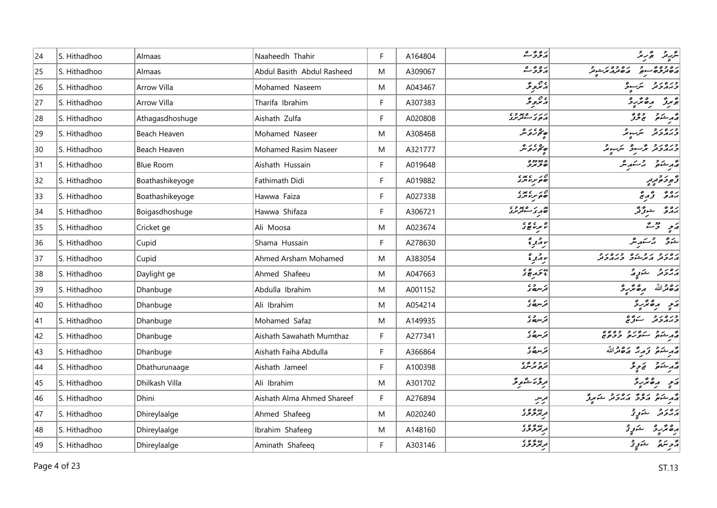| 24 | S. Hithadhoo | Almaas             | Naaheedh Thahir            | F  | A164804 | ىر ۋېۋىشە                             | شريتر گ <sub>ھ</sub> ريز                                                                                                                                                                                                         |
|----|--------------|--------------------|----------------------------|----|---------|---------------------------------------|----------------------------------------------------------------------------------------------------------------------------------------------------------------------------------------------------------------------------------|
| 25 | S. Hithadhoo | Almaas             | Abdul Basith Abdul Rasheed | M  | A309067 | بروپۇر ھ                              | נס כס שני פי נס כס מיבית.<br>הסתיכם נים הסתח מיבית                                                                                                                                                                               |
| 26 | S. Hithadhoo | <b>Arrow Villa</b> | Mohamed Naseem             | M  | A043467 | لمرجر محرقحه                          | כנסגב ת-פ                                                                                                                                                                                                                        |
| 27 | S. Hithadhoo | <b>Arrow Villa</b> | Tharifa Ibrahim            | F  | A307383 | وحموقه                                | ېمرز رەمزر                                                                                                                                                                                                                       |
| 28 | S. Hithadhoo | Athagasdhoshuge    | Aishath Zulfa              | F  | A020808 | د د د _ ه پو و د<br>  پرچ ي سونسرو د  | و ديدو ده ده.<br>د کار شوی د                                                                                                                                                                                                     |
| 29 | S. Hithadhoo | Beach Heaven       | Mohamed Naseer             | M  | A308468 | ھەممەر ھە                             | ورەرو شبور                                                                                                                                                                                                                       |
| 30 | S. Hithadhoo | Beach Heaven       | Mohamed Rasim Naseer       | M  | A321777 | پەنزىر بىر                            | ورەرو پرسوۋ سرسوپر                                                                                                                                                                                                               |
| 31 | S. Hithadhoo | <b>Blue Room</b>   | Aishath Hussain            | F  | A019648 | ه دو دو ه<br>ن <i>ن نو پو</i> ر       | أمار شكار والمستمر مكر                                                                                                                                                                                                           |
| 32 | S. Hithadhoo | Boathashikeyoge    | Fathimath Didi             | F. | A019882 | ہ رے پر ،<br>  صحر پر ہر <sub>ک</sub> | و<br>ترج تر <i>م</i> وسيسي                                                                                                                                                                                                       |
| 33 | S. Hithadhoo | Boathashikeyoge    | Hawwa Faiza                | F  | A027338 | م ريد د د د د د د د ا                 | $rac{20}{200}$<br>تر پر پچ                                                                                                                                                                                                       |
| 34 | S. Hithadhoo | Boigasdhoshuge     | Hawwa Shifaza              | F. | A306721 | پیم بر ۱۵ پر و پر<br>  تقهری سوتورنزی | برەپچ<br>شەرگە<br>—                                                                                                                                                                                                              |
| 35 | S. Hithadhoo | Cricket ge         | Ali Moosa                  | M  | A023674 | ه په ده و،<br>مړينونون                | $27 - 24$                                                                                                                                                                                                                        |
| 36 | S. Hithadhoo | Cupid              | Shama Hussain              | F  | A278630 | بروجوع                                | شۇق بىر شەر بىر                                                                                                                                                                                                                  |
| 37 | S. Hithadhoo | Cupid              | Ahmed Arsham Mohamed       | M  | A383054 | بروجوء                                | נסנד נדנים דנסנד<br>הגבת התייכל בגהכת                                                                                                                                                                                            |
| 38 | S. Hithadhoo | Daylight ge        | Ahmed Shafeeu              | M  | A047663 | ړي ده و<br>٤ مخرم هو د                | دەرەر ھەرپە                                                                                                                                                                                                                      |
| 39 | S. Hithadhoo | Dhanbuge           | Abdulla Ibrahim            | M  | A001152 | ر رو ء<br>ترسرچ <sub>ک</sub>          | مَدَّدَاللَّهُ مِدْهَ مَّرْ                                                                                                                                                                                                      |
| 40 | S. Hithadhoo | Dhanbuge           | Ali Ibrahim                | M  | A054214 | ر<br>ترسرچ <sub>ک</sub>               | ړی ره پر د                                                                                                                                                                                                                       |
| 41 | S. Hithadhoo | Dhanbuge           | Mohamed Safaz              | M  | A149935 | ر رو ء<br>ترسرچ <sub>ک</sub>          | وره رو د ده ه<br><i>د بر د د</i> ر                                                                                                                                                                                               |
| 42 | S. Hithadhoo | Dhanbuge           | Aishath Sawahath Mumthaz   | F. | A277341 | ترسره ی                               | ه دشتن سنوره ۶۶۶۶<br>درشتنی سنوره ۶۶۶۶                                                                                                                                                                                           |
| 43 | S. Hithadhoo | Dhanbuge           | Aishath Faiha Abdulla      | F  | A366864 | ترسره ء                               | ومرشوم وربه وكامرالله                                                                                                                                                                                                            |
| 44 | S. Hithadhoo | Dhathurunaage      | Aishath Jameel             | F  | A100398 | ر د د و.<br>تره برس                   | و المسلم الله عن المعني في الله عن الله عليه الله الله عن الله عليه الله عن الله عن الله عن الله عن الله                                                                                                                         |
| 45 | S. Hithadhoo | Dhilkash Villa     | Ali Ibrahim                | M  | A301702 | ا <sub>مر</sub> ور <u>شور</u>         | أوسم وهنر و                                                                                                                                                                                                                      |
| 46 | S. Hithadhoo | Dhini              | Aishath Alma Ahmed Shareef | F  | A276894 | توسو<br>مرکز                          | و دو ده و ده دورو در داد.<br>مهر شوه مرکز مدون شورگ                                                                                                                                                                              |
| 47 | S. Hithadhoo | Dhireylaalge       | Ahmed Shafeeg              | M  | A020240 | د پر و ه ه<br>در تر تر تر د           | رەر ئىسىمىتى ئىچە ئەلىرى ئىچار ئىسىمبار ئىسىمبار ئىسىمبار ئىسىمبار ئىسىمبار ئىسىمبار ئىسىمبار ئىسادىكى ئىسادىك<br>ئىسىمبار ئىسىمبار ئىسىمبار ئىسىمبار ئىسىمبار ئىسىمبار ئىسىمبار ئىسىمبار ئىسىمبار ئىسىمبار ئىسىمبار ئىسىمبار ئى |
| 48 | S. Hithadhoo | Dhireylaalge       | Ibrahim Shafeeg            | M  | A148160 | د پرچونو د                            | ە ھېڭرىرى<br>برھېڭرىرى<br>ڪو پ <sup>و</sup>                                                                                                                                                                                      |
| 49 | S. Hithadhoo | Dhireylaalge       | Aminath Shafeeq            | F  | A303146 | ر پر و ه ه<br>د مرمومو د              | أأدويتهم التكريرة                                                                                                                                                                                                                |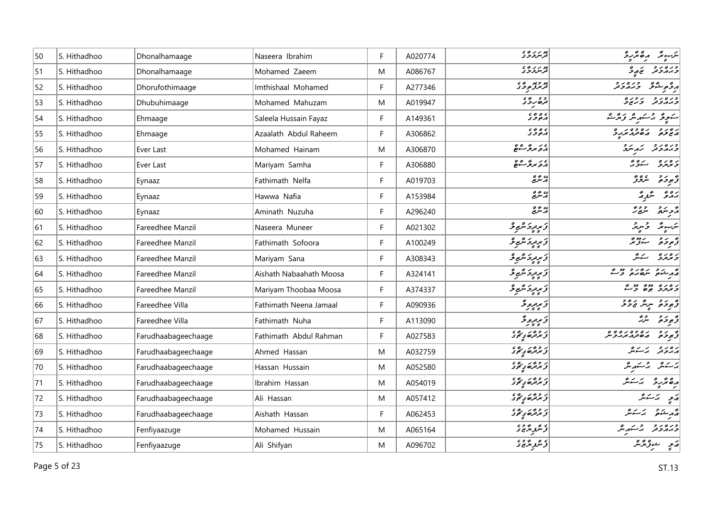| 50 | S. Hithadhoo | Dhonalhamaage       | Naseera Ibrahim         | F  | A020774 | پو پر پر پر ہ<br>تعرین پڑ پر پ                                   | يرىبوند رەتدىرد                            |
|----|--------------|---------------------|-------------------------|----|---------|------------------------------------------------------------------|--------------------------------------------|
| 51 | S. Hithadhoo | Dhonalhamaage       | Mohamed Zaeem           | M  | A086767 | یو پر پر بر پر<br>توسری پر پ                                     | כנסנג זאב                                  |
| 52 | S. Hithadhoo | Dhorufothimaage     | Imthishaal Mohamed      | F. | A277346 | پر دېو په په                                                     | ره دره دره در در<br>درگاه در در در         |
| 53 | S. Hithadhoo | Dhubuhimaage        | Mohamed Mahuzam         | M  | A019947 | و و په په<br>ترخ <i>ې</i> د د                                    | 2222 2222                                  |
| 54 | S. Hithadhoo | Ehmaage             | Saleela Hussain Fayaz   | F  | A149361 | ی ه ۶ بی<br>مرحو <del>ر</del> ک                                  | سەر ئۇ برگسىز ئەرگىنى                      |
| 55 | S. Hithadhoo | Ehmaage             | Azaalath Abdul Raheem   | F  | A306862 | ، ه ه »<br>پرحونو د                                              | ג 270 גם 2000 0                            |
| 56 | S. Hithadhoo | Ever Last           | Mohamed Hainam          | M  | A306870 | ى بەر بۇر 20<br>مەكەبىر ئۇسسو                                    | כנסני הגייב                                |
| 57 | S. Hithadhoo | Ever Last           | Mariyam Samha           | F  | A306880 | ى رىپە ۋە ھ                                                      | سەۋىر<br>ر ه ر ه<br><del>ر</del> بربرگ     |
| 58 | S. Hithadhoo | Eynaaz              | Fathimath Nelfa         | F  | A019703 | ر، پر ہ<br>درس                                                   | سرچری<br>ۇ بوز ئە                          |
| 59 | S. Hithadhoo | Eynaaz              | Hawwa Nafia             | F  | A153984 | ر، پر ہ<br>درس                                                   | $rac{20}{20}$<br>ستعرقه                    |
| 60 | S. Hithadhoo | Eynaaz              | Aminath Nuzuha          | F. | A296240 | ر، پر ہ<br>درس                                                   | أأرمز<br>سرىرى                             |
| 61 | S. Hithadhoo | Fareedhee Manzil    | Naseera Muneer          | F  | A021302 | زَ <sub>م</sub> ِږِ دَ مُرْ <sub>م</sub> ح وَ                    | ايئن په پژ<br>پېښتنه<br>ۇ ئىرىگە           |
| 62 | S. Hithadhoo | Fareedhee Manzil    | Fathimath Sofoora       | F  | A100249 | از پرېږ <sub>خ</sub> ش <sub>تو</sub> نه                          | ژُهِ دَهِ سَرُدِ د                         |
| 63 | S. Hithadhoo | Fareedhee Manzil    | Mariyam Sana            | F  | A308343 | زَ <sub>موِيوپ</sub> رَ مَرْ <sub>مَ</sub> وَ                    | ره ره کش                                   |
| 64 | S. Hithadhoo | Fareedhee Manzil    | Aishath Nabaahath Moosa | F  | A324141 | <br>د سپوړو شمېر و                                               |                                            |
| 65 | S. Hithadhoo | Fareedhee Manzil    | Mariyam Thoobaa Moosa   | F  | A374337 | زَ <sub>م</sub> ِږِ دَ مَرْ <sub>م</sub> ح و                     | ג סגם נדוד נדגל.<br>בינו <i>ניב</i> הצים ב |
| 66 | S. Hithadhoo | Fareedhee Villa     | Fathimath Neena Jamaal  | F. | A090936 | ا تو بر دره مرگز<br><u>استقرار م</u>                             | توجدة سبتر ودود                            |
| 67 | S. Hithadhoo | Fareedhee Villa     | Fathimath Nuha          | F. | A113090 | ۇ برىرە ئ <sup>ۇ</sup>                                           | قرم فرقته والمرتز                          |
| 68 | S. Hithadhoo | Farudhaabageechaage | Fathimath Abdul Rahman  | F. | A027583 | <br>  د برنره <sub>کو</sub> گوی                                  |                                            |
| 69 | S. Hithadhoo | Farudhaabageechaage | Ahmed Hassan            | M  | A032759 | ز و بر بر بر بر بر<br>  ز بر تره پ <sub>ر</sub> بر <sub>ک</sub>  | رەرە بەسەر                                 |
| 70 | S. Hithadhoo | Farudhaabageechaage | Hassan Hussain          | M  | A052580 | ز و و ر په دو و کار د<br>  تر مرتزر <i>ه <sub>کو</sub> ک</i> و د | يركبش يركبهاش                              |
| 71 | S. Hithadhoo | Farudhaabageechaage | Ibrahim Hassan          | M  | A054019 | ر و و د په و و ک                                                 | رەنزىر ئەسەر                               |
| 72 | S. Hithadhoo | Farudhaabageechaage | Ali Hassan              | M  | A057412 | ر و و ر<br>د برتره <sub>کو</sub> گرد                             | أەيي برسكىش                                |
| 73 | S. Hithadhoo | Farudhaabageechaage | Aishath Hassan          | F. | A062453 | ز حر پر په دره د کالن<br>  نو پر ټره <sub>کو</sub> په کالن       | ۇرىشۇ ئەسكىر                               |
| 74 | S. Hithadhoo | Fenfiyaazuge        | Mohamed Hussain         | M  | A065164 | ئۇ شرىر ش <sup>ىرى</sup> ئ                                       | בנסגר הייתית                               |
| 75 | S. Hithadhoo | Fenfiyaazuge        | Ali Shifyan             | M  | A096702 | ئۇ شرىر ش <sup>ىرى</sup> ئ                                       | أەسم سور شرىر                              |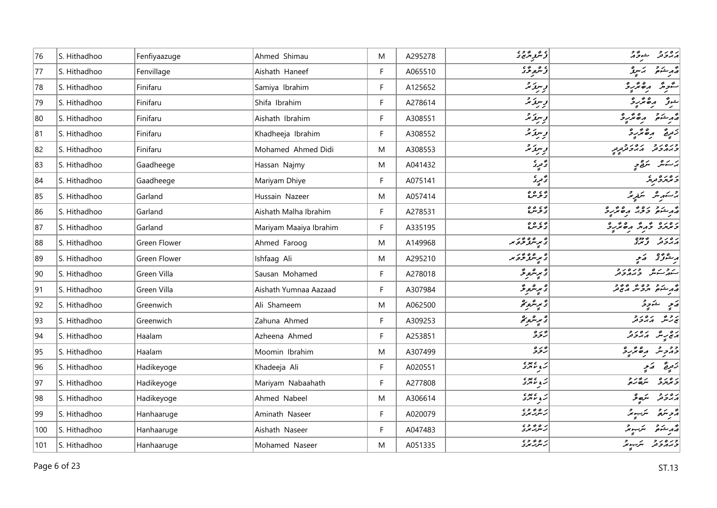| 76           | S. Hithadhoo | Fenfiyaazuge        | Ahmed Shimau           | M  | A295278 | ئۇنتىر بىرىيى<br>  ئۇنتىر بىرىيى         | أربروتر بموقر                           |
|--------------|--------------|---------------------|------------------------|----|---------|------------------------------------------|-----------------------------------------|
| 77           | S. Hithadhoo | Fenvillage          | Aishath Haneef         | F  | A065510 | ا ئۇيتى <sub>م</sub> ورىيە<br>مەسىرىمىسى | ۇرمىشقى كەسپۇ                           |
| 78           | S. Hithadhoo | Finifaru            | Samiya Ibrahim         | F  | A125652 | و سوتر تر                                | دە تەرە<br>ستمرش                        |
| 79           | S. Hithadhoo | Finifaru            | Shifa Ibrahim          | F  | A278614 | و سرتر تر                                | ە ھەترىرى<br>مەھەترىرى<br>خورم<br>مراجع |
| 80           | S. Hithadhoo | Finifaru            | Aishath Ibrahim        | F  | A308551 | ار سرزیز<br><u>سر</u>                    | دە تەرى<br>پ <sup>ر</sup> مرشو پر       |
| 81           | S. Hithadhoo | Finifaru            | Khadheeja Ibrahim      | F  | A308552 | وسرتر تر                                 | زَمِيعٌ مِنْ مُرِّرِ                    |
| 82           | S. Hithadhoo | Finifaru            | Mohamed Ahmed Didi     | M  | A308553 | و سوتر تر                                | כנסגב גםגבתת<br>כגמכת הגכתתת            |
| 83           | S. Hithadhoo | Gaadheege           | Hassan Najmy           | M  | A041432 | ر<br>گ <sup>و</sup> رگورگ                | بر سەش ئىرقى ئ                          |
| 84           | S. Hithadhoo | Gaadheege           | Mariyam Dhiye          | F  | A075141 | ءِ مرِء <sup>َ</sup>                     | ر ه ر ه ر ه<br>د بربرد بربر             |
| 85           | S. Hithadhoo | Garland             | Hussain Nazeer         | M  | A057414 | ءِ ۽ ه ه<br>رگوسو                        | برسكير مكتبريم                          |
| 86           | S. Hithadhoo | Garland             | Aishath Malha Ibrahim  | F  | A278531 | ء ۽ ه ه<br>ر                             |                                         |
| 87           | S. Hithadhoo | Garland             | Mariyam Maaiya Ibrahim | F. | A335195 | ءِ ۽ ه ه<br>ر                            | ני ני מי מי מי מי ני                    |
| 88           | S. Hithadhoo | <b>Green Flower</b> | Ahmed Faroog           | M  | A149968 | <sub>ئەس</sub> رىئىز ئۆزىر               | ر ہ ر د پر دہ<br>גرکار کی گر            |
| 89           | S. Hithadhoo | <b>Green Flower</b> | Ishfaag Ali            | M  | A295210 | <sub>گ</sub> ېرىشتر <i>گەنگە</i> ر       | مرشورٌ في مَر                           |
| $ 90\rangle$ | S. Hithadhoo | Green Villa         | Sausan Mohamed         | F  | A278018 | <sup>ە</sup> بې <sup>تر</sup> بۇ         | سەرسىسى دىرەرد                          |
| 91           | S. Hithadhoo | Green Villa         | Aishath Yumnaa Aazaad  | F  | A307984 | ە بېرىئى <sub>م</sub> ۇ                  | ه در د وه پو پود<br>مهر شوه مرح س مرمی  |
| 92           | S. Hithadhoo | Greenwich           | Ali Shameem            | M  | A062500 | <sub>م</sub> حمد مشرور پھر               | أركمني المشترجة                         |
| 93           | S. Hithadhoo | Greenwich           | Zahuna Ahmed           | F  | A309253 | <sup>ه</sup> سر سره پر                   | ر <i>ده ده ده</i>                       |
| 94           | S. Hithadhoo | Haalam              | Azheena Ahmed          | F. | A253851 | رحمره                                    | ړې په پرورو                             |
| 95           | S. Hithadhoo | Haalam              | Moomin Ibrahim         | M  | A307499 | رًى و                                    | כגבית הסתיב<br>בגבית הסתיב              |
| 96           | S. Hithadhoo | Hadikeyoge          | Khadeeja Ali           | F  | A020551 | لروعيوم                                  | رَسِيعٌ صَحِي                           |
| 97           | S. Hithadhoo | Hadikeyoge          | Mariyam Nabaahath      | F  | A277808 |                                          | وعريزة<br>سره ر د                       |
| 98           | S. Hithadhoo | Hadikeyoge          | Ahmed Nabeel           | M  | A306614 | ر<br>تر ۽ مذهري                          | رەر ئەھ                                 |
| 99           | S. Hithadhoo | Hanhaaruge          | Aminath Naseer         | F  | A020079 | ر ۵ و و ۷<br>رکسرر مور                   | ومحر متكوم التكريبومر                   |
| 100          | S. Hithadhoo | Hanhaaruge          | Aishath Naseer         | F. | A047483 | ر ۵ ۶ و ۷<br>ترس ترموی                   | قەرشۇق سىببوقر                          |
| 101          | S. Hithadhoo | Hanhaaruge          | Mohamed Naseer         | M  | A051335 | ر ۵ ۶ و ۷<br>رسرر بور                    | ورەرو شبەتر                             |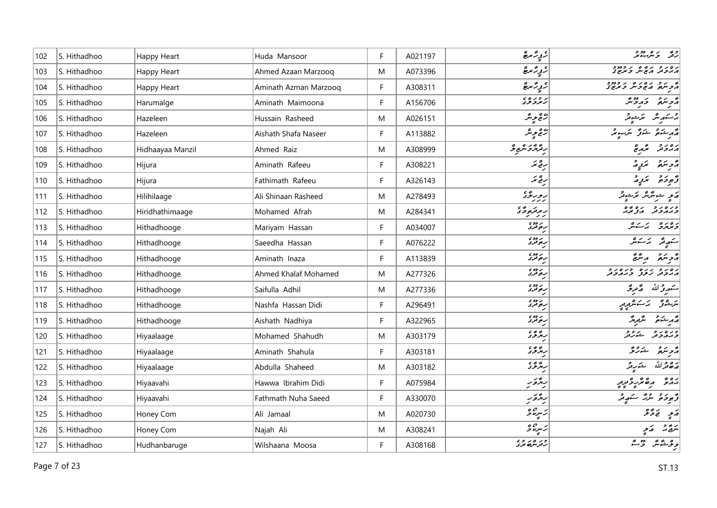| 102 | S. Hithadhoo | Happy Heart      | Huda Mansoor          | F.          | A021197 | دَ وِرَّ برءٍ                           | و میں مدد و<br>رنگر کے س                    |
|-----|--------------|------------------|-----------------------|-------------|---------|-----------------------------------------|---------------------------------------------|
| 103 | S. Hithadhoo | Happy Heart      | Ahmed Azaan Marzooq   | M           | A073396 | ا ئا پ <sub>ە</sub> پەرتىم ھ            | גם גב גבים ביבוד.<br>הגבית הבית ביניביב     |
| 104 | S. Hithadhoo | Happy Heart      | Aminath Azman Marzoog | F.          | A308311 | ر و پر محمد معر <u>ده</u><br>محمود محمد | ه در د ده ده دود.<br>مرح شهر مناخ شرکت د    |
| 105 | S. Hithadhoo | Harumalge        | Aminath Maimoona      | F           | A156706 | ر وره ،<br>ر <del>ب</del> رونوی         | ومستعفى المتحامين                           |
| 106 | S. Hithadhoo | Hazeleen         | Hussain Rasheed       | M           | A026151 | ا شع پویٹر<br>                          | چە سەر ئىر ئەس ئەر ئەسىر                    |
| 107 | S. Hithadhoo | Hazeleen         | Aishath Shafa Naseer  | $\mathsf F$ | A113882 | ا شع پویٹر<br>                          | ر<br>روم شومي الشرق الترجيعي                |
| 108 | S. Hithadhoo | Hidhaayaa Manzil | Ahmed Raiz            | M           | A308999 | ر پروژو شي و                            | أرور والمحمدة                               |
| 109 | S. Hithadhoo | Hijura           | Aminath Rafeeu        | F           | A308221 | رقع تئر                                 |                                             |
| 110 | S. Hithadhoo | Hijura           | Fathimath Rafeeu      | F.          | A326143 | رقح تز                                  | تزود مزرد                                   |
| 111 | S. Hithadhoo | Hilihilaage      | Ali Shinaan Rasheed   | M           | A278493 | ار ورځ <sup>چ</sup><br><u>ربر</u>       | أركوا الشوامر مكر مكر الشوار                |
| 112 | S. Hithadhoo | Hiridhathimaage  | Mohamed Afrah         | M           | A284341 | ر بر در و د ،<br><u>ر ر</u>             | כנסנכ נסיפס<br>כממכת הציגה                  |
| 113 | S. Hithadhoo | Hithadhooge      | Mariyam Hassan        | F           | A034007 | ر دد :<br>ره ترز                        | دەرە بەسەر                                  |
| 114 | S. Hithadhoo | Hithadhooge      | Saeedha Hassan        | F           | A076222 | ر دو ء<br>پرجو تر <sub>ک</sub>          | سەرپەنگە   ئەسكەنلەر                        |
| 115 | S. Hithadhoo | Hithadhooge      | Aminath Inaza         | F           | A113839 | ر دو تا<br>مرح فری                      | ومحر المتعرض                                |
| 116 | S. Hithadhoo | Hithadhooge      | Ahmed Khalaf Mohamed  | M           | A277326 | ر دو ء<br>پرجو ترو                      | גם ג' ב' ב' כי הביר.<br>ה' ג' ב' ב' בי הביק |
| 117 | S. Hithadhoo | Hithadhooge      | Saifulla Adhil        | ${\sf M}$   | A277336 | ر دد د<br>په تر د                       | حيرة الله حميد                              |
| 118 | S. Hithadhoo | Hithadhooge      | Nashfa Hassan Didi    | F.          | A296491 | ر دد ه<br>ره ترد                        | ر قائق ئەسەئىرىدىر<br>سىن ئىشوق             |
| 119 | S. Hithadhoo | Hithadhooge      | Aishath Nadhiya       | $\mathsf F$ | A322965 | ر دو ،<br>رپوترۍ                        | مەر ئىكى ئىستىر                             |
| 120 | S. Hithadhoo | Hiyaalaage       | Mohamed Shahudh       | M           | A303179 | رپڑی                                    | ورەرو شەدو<br><i>جەم</i> ەدىر شەرىر         |
| 121 | S. Hithadhoo | Hiyaalaage       | Aminath Shahula       | F           | A303181 | ر پژوي<br>ر                             | أأروبتهم المشركز                            |
| 122 | S. Hithadhoo | Hiyaalaage       | Abdulla Shaheed       | M           | A303182 | ر پوځ د<br>ر                            | أرة قرالله خريته                            |
| 123 | S. Hithadhoo | Hiyaavahi        | Hawwa Ibrahim Didi    | $\mathsf F$ | A075984 | رېژو ٔر                                 | بروء ماه عروب                               |
| 124 | S. Hithadhoo | Hiyaavahi        | Fathmath Nuha Saeed   | F           | A330070 | رېژۀ ر                                  | توجوحا المرثر الشريانير                     |
| 125 | S. Hithadhoo | Honey Com        | Ali Jamaal            | M           | A020730 | ر<br>رسم ده<br>س                        | ړې وگړي                                     |
| 126 | S. Hithadhoo | Honey Com        | Najah Ali             | M           | A308241 | ر<br>سرچو                               | بروج المالمج                                |
| 127 | S. Hithadhoo | Hudhanbaruge     | Wilshaana Moosa       | F           | A308168 | و ر ه ر و ،<br>رترس@ بری                | أورقح شريح وحرقته                           |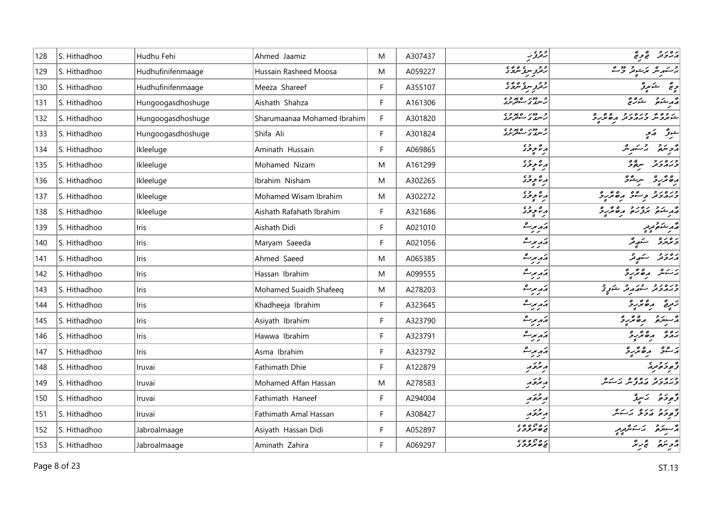| 128 | S. Hithadhoo | Hudhu Fehi        | Ahmed Jaamiz                | M           | A307437 | و و ۽<br>رقوب                           | رەر ئى ق                                 |
|-----|--------------|-------------------|-----------------------------|-------------|---------|-----------------------------------------|------------------------------------------|
| 129 | S. Hithadhoo | Hudhufinifenmaage | Hussain Rasheed Moosa       | M           | A059227 | د و <sub>سرنو</sub> مرد ،               | ج سەر ئەر ئەزىيە ئەر ج                   |
| 130 | S. Hithadhoo | Hudhufinifenmaage | Meeza Shareef               | $\mathsf F$ | A355107 | 32 مربر مركز مركز كى<br>مەمرىر مەركزى   | دٍ پج شکورگر                             |
| 131 | S. Hithadhoo | Hungoogasdhoshuge | Aishath Shahza              | F           | A161306 | و په دور ان دوره<br>رسرۍ کا سوفرمزۍ     | اړٌ د ځو<br>ر شەرىج                      |
| 132 | S. Hithadhoo | Hungoogasdhoshuge | Sharumaanaa Mohamed Ibrahim | F           | A301820 | و پر دوبر ان مواد د<br>مرسوری سندوبروی  | ر دو و دره دو ده ورو                     |
| 133 | S. Hithadhoo | Hungoogasdhoshuge | Shifa Ali                   | F.          | A301824 | و سود در ه پر و د<br>رسری ی سوتوری      | جوڙ اڳاڻي                                |
| 134 | S. Hithadhoo | Ikleeluge         | Aminath Hussain             | F           | A069865 | د ره و و ،<br>مرگوری                    | بر سەمەر بىر                             |
| 135 | S. Hithadhoo | Ikleeluge         | Mohamed Nizam               | M           | A161299 | ەر ئەمەدى<br>س                          | و ر ه ر د<br>د بر پر تر<br>سرۋو          |
| 136 | S. Hithadhoo | Ikleeluge         | Ibrahim Nisham              | M           | A302265 | ەر ئەمرىزى<br>س                         | ەرھەترىر <sup>ە</sup>                    |
| 137 | S. Hithadhoo | Ikleeluge         | Mohamed Wisam Ibrahim       | M           | A302272 | ىر ن <sup>ى</sup> موخ <sub>و</sub> ى    | ورەرو وسۇ مەھرى                          |
| 138 | S. Hithadhoo | Ikleeluge         | Aishath Rafahath Ibrahim    | F           | A321686 | ەر ئەمەدى<br>س                          | ړ. دغمو مرز ده ده مرکز                   |
| 139 | S. Hithadhoo | Iris              | Aishath Didi                | F.          | A021010 | اړېږ بر ه<br>سيست                       | وگهر شکوه تولیو<br>مسر                   |
| 140 | S. Hithadhoo | Iris              | Maryam Saeeda               | F           | A021056 | اړېږېږگ                                 | ويروو ستهير                              |
| 141 | S. Hithadhoo | <b>Iris</b>       | Ahmed Saeed                 | M           | A065385 | اړېږېږگ                                 | پره د چې کرېږمر                          |
| 142 | S. Hithadhoo | Iris              | Hassan Ibrahim              | M           | A099555 | اړېږېږگ                                 | برسكس مقتررة                             |
| 143 | S. Hithadhoo | Iris              | Mohamed Suaidh Shafeeq      | M           | A278203 | اړَ مرسه ه<br>سيسيه                     | בגבדה הבלקבר ביציב                       |
| 144 | S. Hithadhoo | lris              | Khadheeja Ibrahim           | F.          | A323645 | اړېږېده<br>سيسيه                        | أزبرق وكالمردو                           |
| 145 | S. Hithadhoo | Iris              | Asiyath Ibrahim             | F           | A323790 | ە ئەمە بىر <sup>0</sup>                 | پر<br>در سه در د<br>ەھ ئەرج              |
| 146 | S. Hithadhoo | <b>Iris</b>       | Hawwa Ibrahim               | F           | A323791 | اړ <sub>مرمو</sub> ث                    | ر ه و<br>برد و<br>ىر ھەتئەر <sub>2</sub> |
| 147 | S. Hithadhoo | Iris              | Asma Ibrahim                | F           | A323792 | ە ئەبرىيە<br>مەسرىب                     | رەپچ<br>ەھ تررۈ                          |
| 148 | S. Hithadhoo | Iruvai            | Fathimath Dhie              | F           | A122879 | وبخرخرمر                                | ۇ ب <sub>و</sub> ج <sup>ە</sup> تەرەك    |
| 149 | S. Hithadhoo | Iruvai            | Mohamed Affan Hassan        | M           | A278583 | وبخرعكمر                                | ورەر د رەپ دىر كەنگ                      |
| 150 | S. Hithadhoo | Iruvai            | Fathimath Haneef            | F           | A294004 | برتز و بر                               | قهودة بمسرو                              |
| 151 | S. Hithadhoo | Iruvai            | Fathimath Amal Hassan       | F.          | A308427 | وبخرخرمر                                | ۋۈرۈم مەدبۇ بەسەس                        |
| 152 | S. Hithadhoo | Jabroalmaage      | Asiyath Hassan Didi         | F           | A052897 | ر ه ۵ ۵ و پر و<br>قع حرفرو <sub>ک</sub> | ە ئەسىر ئەس ئەسكە ئەسرىدىر               |
| 153 | S. Hithadhoo | Jabroalmaage      | Aminath Zahira              | F           | A069297 | ر ۵ ۵ ۵ ۵ ۵<br>ق حا مرمونو ی            | ومحر ينتهم فلتح سائد                     |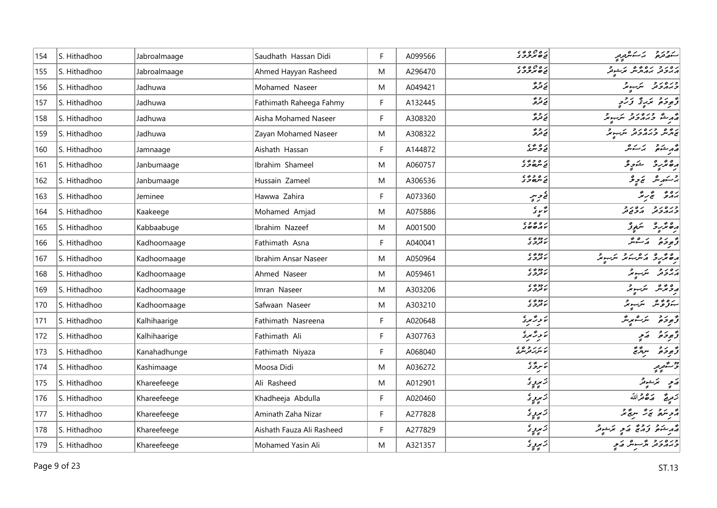| 154 | S. Hithadhoo | Jabroalmaage | Saudhath Hassan Didi      | F. | A099566 | ر ه ۵ ۵ و و ء<br>قع حو <del>ت</del> ر و د | سەھەمى ئەسەھەرىر                                |
|-----|--------------|--------------|---------------------------|----|---------|-------------------------------------------|-------------------------------------------------|
| 155 | S. Hithadhoo | Jabroalmaage | Ahmed Hayyan Rasheed      | M  | A296470 | ر ٥ ٥ ٥ ٥ ٠<br>ق حا مرمونو ي              | ر 2000 - 2000 كرشود.<br>ג د حاد بر در ش مر شوند |
| 156 | S. Hithadhoo | Jadhuwa      | Mohamed Naseer            | M  | A049421 | ر و بر<br>قع تعرض                         | وره رو سرب و                                    |
| 157 | S. Hithadhoo | Jadhuwa      | Fathimath Raheega Fahmy   | F  | A132445 | ر و بر<br>قع ترج                          | وتجوخوا المرابة وكرمي                           |
| 158 | S. Hithadhoo | Jadhuwa      | Aisha Mohamed Naseer      | F  | A308320 | ر و بر<br>قع تورگ                         | و ده دره دو د بر                                |
| 159 | S. Hithadhoo | Jadhuwa      | Zayan Mohamed Naseer      | M  | A308322 | ر و بر<br>قع تورگ                         | ر و ه دره رو در بر                              |
| 160 | S. Hithadhoo | Jamnaage     | Aishath Hassan            | F  | A144872 | ر ە پە ›<br>ق <sub>ە</sub> ترىخى          | لەر شىم ئەسكەنگر                                |
| 161 | S. Hithadhoo | Janbumaage   | Ibrahim Shameel           | M  | A060757 | ر ه د د »<br>د سره تر د                   | ەھترىرى شەرى<br>رەمترىرى شەرى                   |
| 162 | S. Hithadhoo | Janbumaage   | Hussain Zameel            | M  | A306536 | ر ه د د »<br>د سره تر د                   | رُسَرِ مَنْ وَلَوْ                              |
| 163 | S. Hithadhoo | Jeminee      | Hawwa Zahira              | F  | A073360 | قح حر سر<br>مر                            | پره په په پخر پخه                               |
| 164 | S. Hithadhoo | Kaakeege     | Mohamed Amjad             | M  | A075886 | ې<br>بارى                                 | כנסנכ נסנכ<br>קממכנג מכשנג                      |
| 165 | S. Hithadhoo | Kabbaabuge   | Ibrahim Nazeef            | M  | A001500 | 50001                                     | ى <i>ر ھىڭرى</i> ھىندۇ                          |
| 166 | S. Hithadhoo | Kadhoomaage  | Fathimath Asna            | F  | A040041 | ر دون ،<br>د ترو ،                        | ۇ بور ئەس ئەسىر                                 |
| 167 | S. Hithadhoo | Kadhoomaage  | Ibrahim Ansar Naseer      | M  | A050964 | ر دور د<br>را تور د                       | رە ئرىرى ئەربىكى ئىب                            |
| 168 | S. Hithadhoo | Kadhoomaage  | Ahmed Naseer              | M  | A059461 | ر دور د<br>را تور د                       | أرەرو سكەبدۇ.                                   |
| 169 | S. Hithadhoo | Kadhoomaage  | Imran Naseer              | M  | A303206 | ر دون ،<br>د ترو ،                        | وديرير الرسوير                                  |
| 170 | S. Hithadhoo | Kadhoomaage  | Safwaan Naseer            | M  | A303210 | ر دو ه ،<br>د ترو د                       | بەۋەش ئىرسوپر                                   |
| 171 | S. Hithadhoo | Kalhihaarige | Fathimath Nasreena        | F  | A020648 | ئە بەرتە بىرى<br>سىر                      | ۇي <sub>ر</sub> وتۇ سەسىر                       |
| 172 | S. Hithadhoo | Kalhihaarige | Fathimath Ali             | F  | A307763 | ئەر شەيرى<br>س                            | توجوحوا الأمج                                   |
| 173 | S. Hithadhoo | Kanahadhunge | Fathimath Niyaza          | F  | A068040 | ر ر ر و ه ،<br>ر سربر ترسری               |                                                 |
| 174 | S. Hithadhoo | Kashimaage   | Moosa Didi                | M  | A036272 | ر<br>مأسرچۍ                               | دو گرورو<br>اگر گرورو                           |
| 175 | S. Hithadhoo | Khareefeege  | Ali Rasheed               | M  | A012901 | زېږ <sub>ون</sub> که<br>په په             |                                                 |
| 176 | S. Hithadhoo | Khareefeege  | Khadheeja Abdulla         | F  | A020460 | زىردى<br>ئەسىم                            | تزميعً رَصْحْرَاللّه                            |
| 177 | S. Hithadhoo | Khareefeege  | Aminath Zaha Nizar        | F  | A277828 | ز <sub>موبو</sub> ء<br>پ                  |                                                 |
| 178 | S. Hithadhoo | Khareefeege  | Aishath Fauza Ali Rasheed | F  | A277829 | نزىدى <sub>ر</sub> ئە                     |                                                 |
| 179 | S. Hithadhoo | Khareefeege  | Mohamed Yasin Ali         | M  | A321357 | زىرو ؟<br>ئەسىم                           | ورەرو ۋىدىگە كەب                                |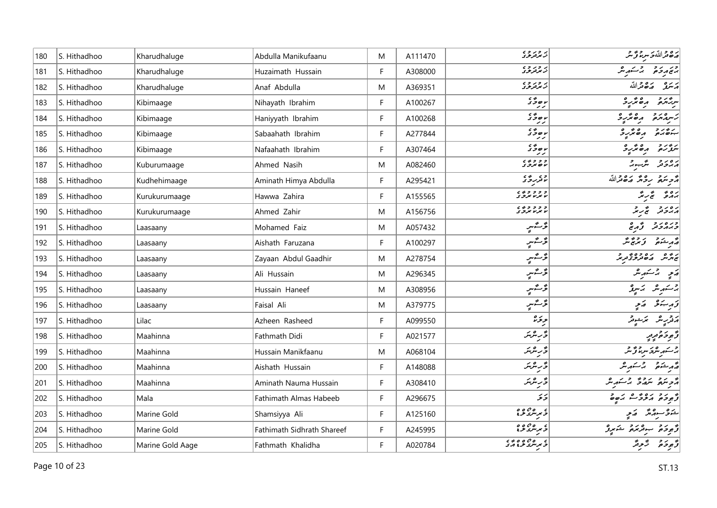| 180 | S. Hithadhoo | Kharudhaluge     | Abdulla Manikufaanu        | M           | A111470 | ژ ور و ،<br>  ژ برترنوی            | مَدَهْ مَدْ اللّهَ حَسِرِينَ قَرَّ يَتْر                      |
|-----|--------------|------------------|----------------------------|-------------|---------|------------------------------------|---------------------------------------------------------------|
| 181 | S. Hithadhoo | Kharudhaluge     | Huzaimath Hussain          | $\mathsf F$ | A308000 | بر ور و ،<br>نر مرتر و ،           | $rac{2}{\sqrt{2}}$                                            |
| 182 | S. Hithadhoo | Kharudhaluge     | Anaf Abdulla               | M           | A369351 | ژ ور و ،<br>  ژ برترنوی            | مَسَعْدِ مَصْعَرَاللَّهُ                                      |
| 183 | S. Hithadhoo | Kibimaage        | Nihayath Ibrahim           | F           | A100267 | $550\nu$                           | ەھ ئۆر ۋ<br>سرچ پر و                                          |
| 184 | S. Hithadhoo | Kibimaage        | Haniyyath Ibrahim          | F.          | A100268 | 550y                               | ە ھەترىرى<br>برھەترىرى<br>ئەس <i>رە ئە</i> ر                  |
| 185 | S. Hithadhoo | Kibimaage        | Sabaahath Ibrahim          | F           | A277844 | 550y                               | ە ھەترىرى<br>بە ئەر د                                         |
| 186 | S. Hithadhoo | Kibimaage        | Nafaahath Ibrahim          | F           | A307464 | נים<br>נק                          | يرور مده بره بررد                                             |
| 187 | S. Hithadhoo | Kuburumaage      | Ahmed Nasih                | M           | A082460 | د د د ه ،<br>مان مرد د             | رەرد شهر                                                      |
| 188 | S. Hithadhoo | Kudhehimaage     | Aminath Himya Abdulla      | F.          | A295421 | ژې په په                           | ومحر معرفة معاقرالله                                          |
| 189 | S. Hithadhoo | Kurukurumaage    | Hawwa Zahira               | F           | A155565 | و و و و ده ،<br>ما مورس            | رەپ پەرىر                                                     |
| 190 | S. Hithadhoo | Kurukurumaage    | Ahmed Zahir                | M           | A156756 | د د د د د ه ،<br>ما موما مور د     | رەرو ئەرى                                                     |
| 191 | S. Hithadhoo | Laasaany         | Mohamed Faiz               | M           | A057432 | اقرشقهر<br>پخ                      | ورەر د ۋرج                                                    |
| 192 | S. Hithadhoo | Laasaany         | Aishath Faruzana           | $\mathsf F$ | A100297 | ۇ ئەسىر<br>ئ                       | ە ئەسكەت كەندىنى ئىر                                          |
| 193 | S. Hithadhoo | Laasaany         | Zayaan Abdul Gaadhir       | M           | A278754 | ۇ ئەسىر<br>ئ                       | د مهر د د وه و د د د<br>  ج تر شهر مهر د تو تو تر تر          |
| 194 | S. Hithadhoo | Laasaany         | Ali Hussain                | M           | A296345 | ۇسە<br>ئوسە                        | أە ئو بەر ئەسكىر بىر                                          |
| 195 | S. Hithadhoo | Laasaany         | Hussain Haneef             | M           | A308956 | ۇرمە <sub>سىر</sub>                | رىسكىرىش كەنب <mark>ور</mark><br>مەسكىرىش كەنبولگە            |
| 196 | S. Hithadhoo | Laasaany         | Faisal Ali                 | M           | A379775 | ۇ ئەسىر<br>ئ                       | وَرَجَعٌ الْمَيْحِ                                            |
| 197 | S. Hithadhoo | Lilac            | Azheen Rasheed             | F           | A099550 | جرځره                              | ر قریر مرشور<br>مقریر مرشور                                   |
| 198 | S. Hithadhoo | Maahinna         | Fathmath Didi              | F           | A021577 | ۇ <sub>سە</sub> بىرىتر             | ر<br>تر موځ مړينې                                             |
| 199 | S. Hithadhoo | Maahinna         | Hussain Manikfaanu         | M           | A068104 | ا ده به شد.<br>پیشین               | ر مەمرىكى ئىرىدۇ.<br>مەسكىر ئىرى ئىرىدۇ ئىر                   |
| 200 | S. Hithadhoo | Maahinna         | Aishath Hussain            | $\mathsf F$ | A148088 | ۇ <sub>سە</sub> بىرىكە             | ە ئىر ئىس ئەسكىرىش                                            |
| 201 | S. Hithadhoo | Maahinna         | Aminath Nauma Hussain      | F           | A308410 | ۇرىۋىئە                            | أأدخره المتمر المسترامين                                      |
| 202 | S. Hithadhoo | Mala             | Fathimath Almas Habeeb     | $\mathsf F$ | A296675 | زى                                 | ژوره رووگ رَه                                                 |
| 203 | S. Hithadhoo | Marine Gold      | Shamsiyya Ali              | F.          | A125160 | الخبر هيموه                        |                                                               |
| 204 | S. Hithadhoo | Marine Gold      | Fathimath Sidhrath Shareef | F.          | A245995 | ې موړه وه<br>خ <sup>م</sup> رسمونځ | ے وسودی کے دیا<br>مشور ہوری کے مشہور<br>وی وی کے سورتری مشہور |
| 205 | S. Hithadhoo | Marine Gold Aage | Fathmath Khalidha          | F           | A020784 | ، وه وه وه .<br>د برس و وه د د     | وَجِودَةٍ رَّجِعَہُ                                           |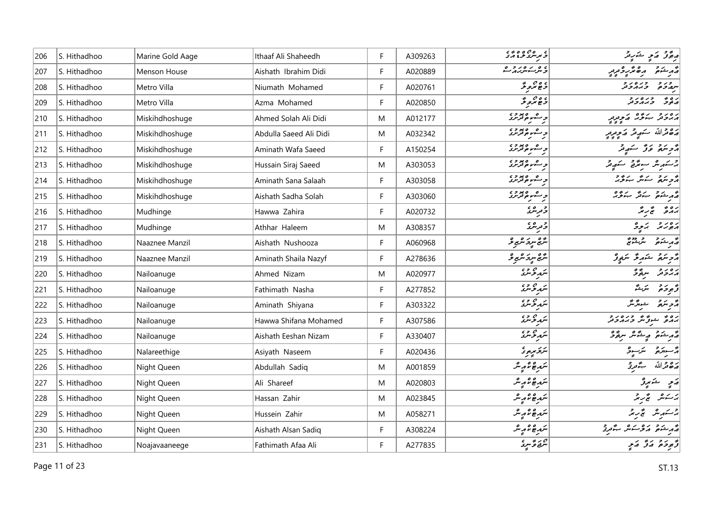| 206 | S. Hithadhoo | Marine Gold Aage | Ithaaf Ali Shaheedh    | F           | A309263 | ې ده ۵ وه وې<br>د برسرونو ور                       | و. وگړو څرمنې                                      |
|-----|--------------|------------------|------------------------|-------------|---------|----------------------------------------------------|----------------------------------------------------|
| 207 | S. Hithadhoo | Menson House     | Aishath Ibrahim Didi   | E           | A020889 | <sup>ى</sup> مەسەئەر <i>جە</i> ر                   | و الشوه المعامر المعروفية                          |
| 208 | S. Hithadhoo | Metro Villa      | Niumath Mohamed        | F           | A020761 | دءيموقه                                            | و ره ر و<br><i>و ټ</i> رو تر<br>سردر و             |
| 209 | S. Hithadhoo | Metro Villa      | Azma Mohamed           | F           | A020850 | <sup>ى 2</sup> 9 ئىرى ئى                           | و رە ر د<br>تر پر تر تر<br>ر ه و<br>پرځونژ         |
| 210 | S. Hithadhoo | Miskihdhoshuge   | Ahmed Solah Ali Didi   | M           | A012177 | د صوره ده ده.<br>د سوره تریرد                      | رەر دېگرى كەرىرىر                                  |
| 211 | S. Hithadhoo | Miskihdhoshuge   | Abdulla Saeed Ali Didi | M           | A032342 | حەپ ھەيدو ،<br>سەمر ھەقىرىرى                       | رَةٍ وَكَّرَاللَّهُ سَمَّ مِرْقَرِ مَرْمَوْنِدِينِ |
| 212 | S. Hithadhoo | Miskihdhoshuge   | Aminath Wafa Saeed     | F           | A150254 | د مهره وده د و ،<br>بر مسره قدیری                  | أأوسكم وكالمستهيض                                  |
| 213 | S. Hithadhoo | Miskihdhoshuge   | Hussain Siraj Saeed    | M           | A303053 | د شوه ورود.<br>د شوه فرمزد                         | رُسكريكر سويرَّة سكرير                             |
| 214 | S. Hithadhoo | Miskihdhoshuge   | Aminath Sana Salaah    | F           | A303058 | و ره ره پرو ،<br>د سومړيون                         | ە ئەسرە ئەنگە ئىكەن                                |
| 215 | S. Hithadhoo | Miskihdhoshuge   | Aishath Sadha Solah    | F           | A303060 | و سه ده وده و د<br>د سه ده فرمرد                   |                                                    |
| 216 | S. Hithadhoo | Mudhinge         | Hawwa Zahira           | F           | A020732 | وتوبثرته                                           | برە ئەرىتى                                         |
| 217 | S. Hithadhoo | Mudhinge         | Athhar Haleem          | M           | A308357 | 3 مرمر<br>م                                        | أرەر ئەرو                                          |
| 218 | S. Hithadhoo | Naaznee Manzil   | Aishath Nushooza       | F           | A060968 | مَ <i>نَّجْ بِبِرْدَ مْرْبِح</i> ْ                 |                                                    |
| 219 | S. Hithadhoo | Naaznee Manzil   | Aminath Shaila Nazyf   | $\mathsf F$ | A278636 | مَ <i>نَّجْ سِرْحَ</i> سُر <sub>ْ</sub> حِرْ حَرْ  | أأوللم الموقر للموثر                               |
| 220 | S. Hithadhoo | Nailoanuge       | Ahmed Nizam            | M           | A020977 | سَمە ئۇسىر                                         | ړه رو سرگو                                         |
| 221 | S. Hithadhoo | Nailoanuge       | Fathimath Nasha        | F           | A277852 | يندعونن                                            | توجوختم الكرامية                                   |
| 222 | S. Hithadhoo | Nailoanuge       | Aminath Shiyana        | F           | A303322 | ىئەر ئۇيىزى                                        | أأدو سكرة فسيرشش                                   |
| 223 | S. Hithadhoo | Nailoanuge       | Hawwa Shifana Mohamed  | F           | A307586 | يئد وعبيد                                          | ره و مشوره در ۲۵۷۶<br>بروغ مشورگر وبروونر          |
| 224 | S. Hithadhoo | Nailoanuge       | Aishath Eeshan Nizam   | F           | A330407 | يئدى و ،                                           | ۇرىشۇ پېشىر سۇر                                    |
| 225 | S. Hithadhoo | Nalareethige     | Asiyath Naseem         | F           | A020436 | يرۇپرە ئ                                           | ومستركم الترسوم                                    |
| 226 | S. Hithadhoo | Night Queen      | Abdullah Sadiq         | M           | A001859 | يئىرغ ئۈرىگە                                       | رەقراللە گەم <i>رى</i>                             |
| 227 | S. Hithadhoo | Night Queen      | Ali Shareef            | M           | A020803 | سَم <i>رِ ع</i> ُ <sup>م</sup> ُ م <sub>ی</sub> سُ | أركمني المستكام والمحمد والمحمد                    |
| 228 | S. Hithadhoo | Night Queen      | Hassan Zahir           | M           | A023845 | يتموع محمويته                                      | يەستىش ئاپرىتى                                     |
| 229 | S. Hithadhoo | Night Queen      | Hussein Zahir          | M           | A058271 | يئىرقچ ئۈمپىر                                      | برسكر مع كريم                                      |
| 230 | S. Hithadhoo | Night Queen      | Aishath Alsan Sadiq    | F           | A308224 | يئىرغ ئۈرىگە                                       | י גד גם גם<br>ג'ו גד גם ג'ו היית היותי             |
| 231 | S. Hithadhoo | Noajavaaneege    | Fathimath Afaa Ali     | F           | A277835 | ترىئ قرسرى                                         | أوجوده أياو أيامي                                  |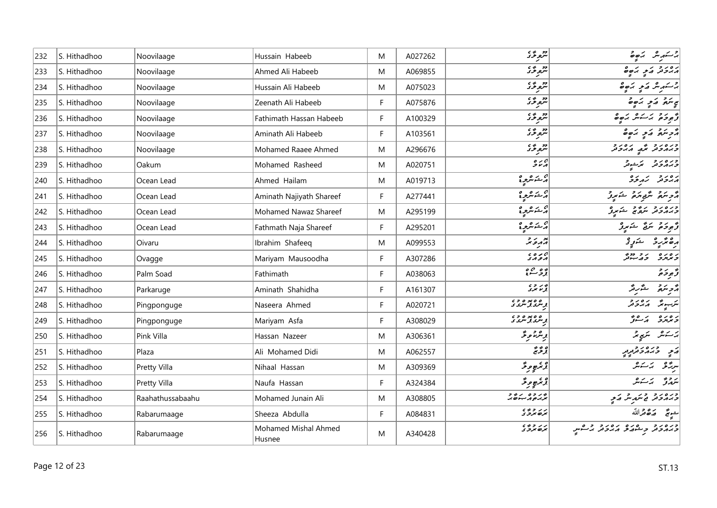| 232 | S. Hithadhoo | Noovilaage       | Hussain Habeeb                 | M  | A027262 | دد<br>متر <sub>جع</sub> بحری                 | ج سکه شه بر کرده                                        |
|-----|--------------|------------------|--------------------------------|----|---------|----------------------------------------------|---------------------------------------------------------|
| 233 | S. Hithadhoo | Noovilaage       | Ahmed Ali Habeeb               | M  | A069855 | دد پر پر<br>سر <sub>گر</sub> بر              | ره رو د چه د ه                                          |
| 234 | S. Hithadhoo | Noovilaage       | Hussain Ali Habeeb             | M  | A075023 | دد په په<br>سر <sub>گرم</sub> ونو            | ج ڪمر شريح جي جي ص                                      |
| 235 | S. Hithadhoo | Noovilaage       | Zeenath Ali Habeeb             | F. | A075876 | دد په په<br>سر <sub>گرم</sub> ونو            | ي سَعْدَ مَعِ سَعِي                                     |
| 236 | S. Hithadhoo | Noovilaage       | Fathimath Hassan Habeeb        | F. | A100329 | دو پر ،<br>سر <sub>ج م</sub> حر <sub>ک</sub> | توجوج برسكس بركا                                        |
| 237 | S. Hithadhoo | Noovilaage       | Aminath Ali Habeeb             | F. | A103561 | دو پر په<br>سر <sub>گو</sub> بو ت            |                                                         |
| 238 | S. Hithadhoo | Noovilaage       | Mohamed Raaee Ahmed            | M  | A296676 | دد د ،<br>متره پرې                           | ورەرو گە مەدو                                           |
| 239 | S. Hithadhoo | Oakum            | Mohamed Rasheed                | M  | A020751 | ەرە<br>مەندى                                 | ورەرو كەنبەتر                                           |
| 240 | S. Hithadhoo | Ocean Lead       | Ahmed Hailam                   | M  | A019713 | پر <u>ين</u> ه مر <sub>محي</sub> ء           | أرەر ئەرى                                               |
| 241 | S. Hithadhoo | Ocean Lead       | Aminath Najiyath Shareef       | F. | A277441 | پر شه مرموٍ ؟                                | أأرجع اللمع الكرمح المسكورة                             |
| 242 | S. Hithadhoo | Ocean Lead       | Mohamed Nawaz Shareef          | M  | A295199 | پر <u>ين</u> ه مر <sub>محي</sub> ء           | ورەرو رود شركتور                                        |
| 243 | S. Hithadhoo | Ocean Lead       | Fathmath Naja Shareef          | F  | A295201 | پرېشه ش <sub>مجي</sub> ءِ                    | تزودة لترقح كتمر                                        |
| 244 | S. Hithadhoo | Oivaru           | Ibrahim Shafeeq                | M  | A099553 | بر<br>مرمرغه تر                              | د ۱۵ پخپر د کشور د                                      |
| 245 | S. Hithadhoo | Ovagge           | Mariyam Mausoodha              | F  | A307286 | 3020                                         | ر ه ر ه<br><del>د</del> بربرگر<br>ر و دور.<br>تر پرسوتر |
| 246 | S. Hithadhoo | Palm Soad        | Fathimath                      | F  | A038063 | ېر ده په                                     | وٌجوحهُ                                                 |
| 247 | S. Hithadhoo | Parkaruge        | Aminath Shahidha               | F  | A161307 | و بر چې<br>گرما مري                          | أأروبترة فتحرقه                                         |
| 248 | S. Hithadhoo | Pingponguge      | Naseera Ahmed                  | F. | A020721 | و ۵ مر ۵ و ۷<br>برسربر تر سر د               | ر ه ر د<br>م <i>. ژ</i> ونر<br>ىئزىبېرىگە               |
| 249 | S. Hithadhoo | Pingponguge      | Mariyam Asfa                   | F  | A308029 | و ۵ مر ۵ و ۷<br>برسربر تر سر د               | زەرە بەرەپچ                                             |
| 250 | S. Hithadhoo | Pink Villa       | Hassan Nazeer                  | M  | A306361 | ويثر بنموقر                                  | پرستمبر سریا پر                                         |
| 251 | S. Hithadhoo | Plaza            | Ali Mohamed Didi               | M  | A062557 | ویږ                                          | در ۱۵۷۶ وروپر<br>  در در در در در در                    |
| 252 | S. Hithadhoo | Pretty Villa     | Nihaal Hassan                  | M  | A309369 | ژیز جو عرتخه                                 | ىردى ئەسكىر                                             |
| 253 | S. Hithadhoo | Pretty Villa     | Naufa Hassan                   | F  | A324384 | إثريج وقر                                    | ىئەتى برىكىش                                            |
| 254 | S. Hithadhoo | Raahathussabaahu | Mohamed Junain Ali             | M  | A308805 | در وه رد و<br>برره د سره بر                  | ورورو ويمرش كمع                                         |
| 255 | S. Hithadhoo | Rabarumaage      | Sheeza Abdulla                 | F  | A084831 | ر ر د د »<br>بره برو د                       | أخويج صكائلة                                            |
| 256 | S. Hithadhoo | Rabarumaage      | Mohamed Mishal Ahmed<br>Husnee | M  | A340428 | ر ر د ه ،<br>بره برو د                       | ورەرد و شەرە رەرد و مس                                  |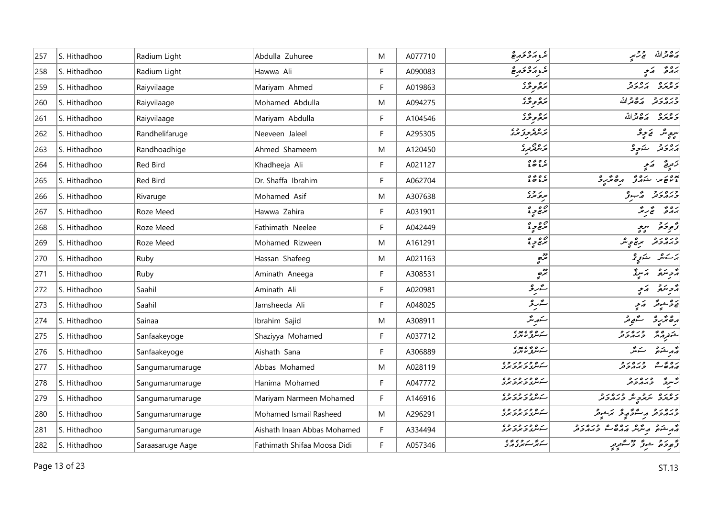| 257 | S. Hithadhoo | Radium Light     | Abdulla Zuhuree             | M           | A077710 | ترو زو در ه                                                                                             | پرچ قرالله یخ شرمیه                                                                                                                                                                                                                |
|-----|--------------|------------------|-----------------------------|-------------|---------|---------------------------------------------------------------------------------------------------------|------------------------------------------------------------------------------------------------------------------------------------------------------------------------------------------------------------------------------------|
| 258 | S. Hithadhoo | Radium Light     | Hawwa Ali                   | F           | A090083 | بموتر و څرم ه                                                                                           | رەپە مەر                                                                                                                                                                                                                           |
| 259 | S. Hithadhoo | Raiyvilaage      | Mariyam Ahmed               | E           | A019863 | بره و پر ،<br>مر <sub>حو</sub> مونځر                                                                    | ג פ ג פ ג כ ג כ<br>קישיו <i>נ</i> פ אייג פינג                                                                                                                                                                                      |
| 260 | S. Hithadhoo | Raiyvilaage      | Mohamed Abdulla             | M           | A094275 | ره<br>مر <sub>حوم</sub> ونړ                                                                             | وره رو دەقراللە                                                                                                                                                                                                                    |
| 261 | S. Hithadhoo | Raiyvilaage      | Mariyam Abdulla             | $\mathsf F$ | A104546 | ر ه<br>بر <sub>گ</sub> وم څر                                                                            | صصرالله<br>ر ه ر ه<br><del>ر</del> بربرگ                                                                                                                                                                                           |
| 262 | S. Hithadhoo | Randhelifaruge   | Neeveen Jaleel              | F           | A295305 | ئەشرى <i>زىرە</i>                                                                                       | سرەپ ئۇ ئۇچ                                                                                                                                                                                                                        |
| 263 | S. Hithadhoo | Randhoadhige     | Ahmed Shameem               | M           | A120450 | ر وہ<br>برىرترىرى                                                                                       | أترجع<br>ے کو و                                                                                                                                                                                                                    |
| 264 | S. Hithadhoo | Red Bird         | Khadheeja Ali               | F           | A021127 | $0\not\in\mathcal{O}$<br>2 $\varnothing$ 2 x                                                            | رَمَرِيحَ - مَا مِنْ                                                                                                                                                                                                               |
| 265 | S. Hithadhoo | Red Bird         | Dr. Shaffa Ibrahim          | F           | A062704 | $\begin{array}{c} 0 \leqslant 0 \leqslant \\ 2 \leqslant \varnothing \leqslant \mathcal{F} \end{array}$ | $30 - 201$<br>مەھمەرچ                                                                                                                                                                                                              |
| 266 | S. Hithadhoo | Rivaruge         | Mohamed Asif                | M           | A307638 | ر و ،<br>موح موی                                                                                        | ورەرو ھەبدۇ                                                                                                                                                                                                                        |
| 267 | S. Hithadhoo | Roze Meed        | Hawwa Zahira                | F           | A031901 | ە ە ھ<br>مرىخ ج <sub>و</sub> لا                                                                         | برە ئەستىر                                                                                                                                                                                                                         |
| 268 | S. Hithadhoo | Roze Meed        | Fathimath Neelee            | F           | A042449 | ە ە ھ<br>ئىرىم جە يا                                                                                    | توجوحو<br>سرچر<br>پ                                                                                                                                                                                                                |
| 269 | S. Hithadhoo | Roze Meed        | Mohamed Rizween             | M           | A161291 | ەرە ج<br>ئىرىنى ج <sub>ە</sub> ي                                                                        | ورەر ئەربۇر بول                                                                                                                                                                                                                    |
| 270 | S. Hithadhoo | Ruby             | Hassan Shafeeg              | M           | A021163 | دد<br>بمرصح                                                                                             | پر سکاه کار دیگر پاکستانی کار برای استفاده میتوانی که استفاده میتوانی که استفاده کردید که استفاده کردید<br>منابع کار کار کرده کرده کردید که برای کردید که برای میتوانی که برای کردید که برای کردید که برای کردید که برای<br>این کر |
| 271 | S. Hithadhoo | Ruby             | Aminath Aneega              | F           | A308531 | دد<br>برځ                                                                                               | أزجر سنتمر أرسبة                                                                                                                                                                                                                   |
| 272 | S. Hithadhoo | Saahil           | Aminath Ali                 | F           | A020981 | سەر بۇ<br>م                                                                                             | أرمر تركيحهم<br>رژمو                                                                                                                                                                                                               |
| 273 | S. Hithadhoo | Saahil           | Jamsheeda Ali               | F           | A048025 | سەر بۇ                                                                                                  | ۇرۇسىدىگر<br>ئ<br>ەتىر                                                                                                                                                                                                             |
| 274 | S. Hithadhoo | Sainaa           | Ibrahim Sajid               | M           | A308911 | سەمەتىر                                                                                                 | ە ھەترىرى<br>برھەترىرى<br>ر گھيے قر                                                                                                                                                                                                |
| 275 | S. Hithadhoo | Sanfaakeyoge     | Shaziyya Mohamed            | F           | A037712 | ر په ده پر د<br>سرمندن کرد                                                                              | ڪنور ۾ ٿر<br>و ر ه ر و<br>تر پر تر تر                                                                                                                                                                                              |
| 276 | S. Hithadhoo | Sanfaakeyoge     | Aishath Sana                | F           | A306889 | ر په ه و و و و<br>سه مرو مو مر                                                                          | پر ديگر ج<br>مرکز مشوجو                                                                                                                                                                                                            |
| 277 | S. Hithadhoo | Sangumarumaruge  | Abbas Mohamed               | M           | A028119 | ر ۵ و د و د و د<br>ستوسری مربو موی                                                                      | 250/<br>و رە ر د<br><i>د ب</i> رگرىز                                                                                                                                                                                               |
| 278 | S. Hithadhoo | Sangumarumaruge  | Hanima Mohamed              | $\mathsf F$ | A047772 | ر ۵ ۶ ۶ ۶ ۶ و ۶<br>سومبرو <del>م</del> رو مرد                                                           | و ره ر د<br>تر پر ژنر<br>ر مسرد مح                                                                                                                                                                                                 |
| 279 | S. Hithadhoo | Sangumarumaruge  | Mariyam Narmeen Mohamed     | F           | A146916 | ر ده و د و د و د<br>ستوسری <del>م</del> رد مرد                                                          | נים נים וניקבית במחבת                                                                                                                                                                                                              |
| 280 | S. Hithadhoo | Sangumarumaruge  | Mohamed Ismail Rasheed      | M           | A296291 | ر ده و د و د و د<br>ستوسری مرد مرد                                                                      | ورەرو رېسۇمپۇ برېسور                                                                                                                                                                                                               |
| 281 | S. Hithadhoo | Sangumarumaruge  | Aishath Inaan Abbas Mohamed | F           | A334494 | ر ه و د و د و و و<br>سومبرو مرو مرو                                                                     |                                                                                                                                                                                                                                    |
| 282 | S. Hithadhoo | Saraasaruge Aage | Fathimath Shifaa Moosa Didi | F           | A057346 | ر په په د د په د په<br>سوټر سومرۍ دري                                                                   | ژوځو خرژ وگړېږ                                                                                                                                                                                                                     |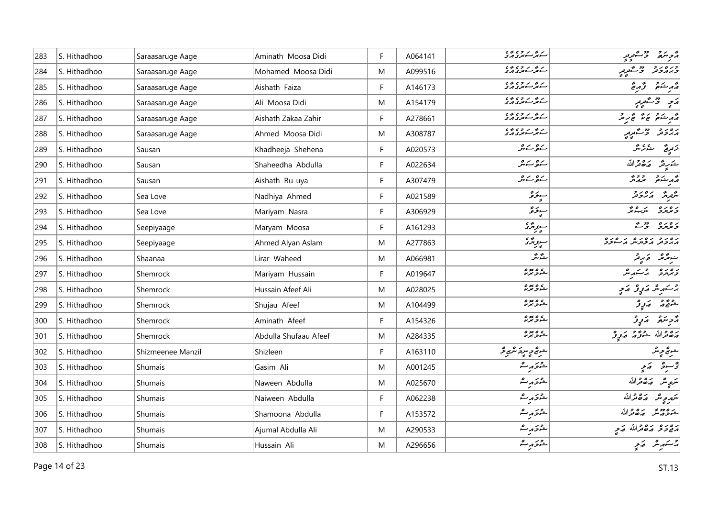| 283 | S. Hithadhoo | Saraasaruge Aage  | Aminath Moosa Didi    | F  | A064141 | ر په د د د د د د<br>سوټر سوټرۍ د د   | ۇ ئەڭ ئۇستەربىر                                                                     |
|-----|--------------|-------------------|-----------------------|----|---------|--------------------------------------|-------------------------------------------------------------------------------------|
| 284 | S. Hithadhoo | Saraasaruge Aage  | Mohamed Moosa Didi    | M  | A099516 | ر په دره ده د                        | وره رو دو عبر در<br>ح پر مرح فر ح حسن مربع                                          |
| 285 | S. Hithadhoo | Saraasaruge Aage  | Aishath Faiza         | F  | A146173 | ر پر در و ، پر ،<br>سوټر سوټرۍ درې   | مدار المستمرة وأراجح                                                                |
| 286 | S. Hithadhoo | Saraasaruge Aage  | Ali Moosa Didi        | M  | A154179 | ر پر در و ، پر ،<br>سوټر سوترۍ درې   | ر<br>پر د گرورن                                                                     |
| 287 | S. Hithadhoo | Saraasaruge Aage  | Aishath Zakaa Zahir   | F. | A278661 | ر په د د د د د د<br>سوټر سوټرۍ د د   | و د شوه د د د د د                                                                   |
| 288 | S. Hithadhoo | Saraasaruge Aage  | Ahmed Moosa Didi      | M  | A308787 | ر پر د د د د د د د<br>سوټر سوټرۍ درې | ره رو دو معرور<br>مهرومز و گرور                                                     |
| 289 | S. Hithadhoo | Sausan            | Khadheeja Shehena     | F  | A020573 | يەھ يەيىر                            | تزمريح المشركانكر                                                                   |
| 290 | S. Hithadhoo | Sausan            | Shaheedha Abdulla     | F  | A022634 | يەھ يەيىر                            | شَمَرِتْدَ <b>صَ</b> هُدَاللّه                                                      |
| 291 | S. Hithadhoo | Sausan            | Aishath Ru-uya        | F  | A307479 | يەھ ئەبىر                            | در دره دره<br><i>د</i> ر شور مرد در                                                 |
| 292 | S. Hithadhoo | Sea Love          | Nadhiya Ahmed         | F  | A021589 | سوئۇھ                                | شرور مدوم                                                                           |
| 293 | S. Hithadhoo | Sea Love          | Mariyam Nasra         | F  | A306929 | سوتزة                                | ر ه ر ه<br><del>د</del> بربرگ<br>ىئرىبەتتر                                          |
| 294 | S. Hithadhoo | Seepiyaage        | Maryam Moosa          | F  | A161293 | سە بورگە ئ                           | وحرثته<br>ر ه ر ه                                                                   |
| 295 | S. Hithadhoo | Seepiyaage        | Ahmed Alyan Aslam     | M  | A277863 | ا سوپوری<br>اسوپوری                  | ג ם ג כ ג סג ם ג ה בסג ם<br>ג ג ב ב ג ב יות יות ג – ייבב                            |
| 296 | S. Hithadhoo | Shaanaa           | Lirar Waheed          | M  | A066981 | شَہ شَر                              | جويمر كالرقر                                                                        |
| 297 | S. Hithadhoo | Shemrock          | Mariyam Hussain       | F  | A019647 | ره و پر ه<br>شو <del>ر</del> بور     | دەرە جەمدىر                                                                         |
| 298 | S. Hithadhoo | Shemrock          | Hussain Afeef Ali     | M  | A028025 | ے ہ برہ<br>شور برر                   | رحسكر بكر م <i>كرو مكرمي</i>                                                        |
| 299 | S. Hithadhoo | Shemrock          | Shujau Afeef          | M  | A104499 | ره و پر ه<br>شو <del>ر</del> بور     | شوق قرر و                                                                           |
| 300 | S. Hithadhoo | Shemrock          | Aminath Afeef         | F  | A154326 | ه و بره<br>شور برنا                  | أزوينتي أرزقه                                                                       |
| 301 | S. Hithadhoo | Shemrock          | Abdulla Shufaau Afeef | M  | A284335 | ره ده بره<br>شو <del>ر</del> برنا    | رە داللە ھۆرە دېۋ                                                                   |
| 302 | S. Hithadhoo | Shizmeenee Manzil | Shizleen              | F  | A163110 | مەم <i>ۋېرىدى</i> ش <sub>ىر</sub> ۋ  | مەم پەر<br>مەم ئە                                                                   |
| 303 | S. Hithadhoo | Shumais           | Gasim Ali             | M  | A001245 | ے تر <i>کم ک</i> ے                   | $\frac{1}{2}$ $\frac{1}{2}$ $\frac{1}{2}$ $\frac{1}{2}$ $\frac{1}{2}$ $\frac{1}{2}$ |
| 304 | S. Hithadhoo | Shumais           | Naween Abdulla        | M  | A025670 | ش <sub>ۇ تە</sub> ر                  | تتربوش وكافترالله                                                                   |
| 305 | S. Hithadhoo | <b>Shumais</b>    | Naiween Abdulla       | F  | A062238 | شەخ مەت                              | تتمرج يثمه اتكاه تحدالله                                                            |
| 306 | S. Hithadhoo | Shumais           | Shamoona Abdulla      | F  | A153572 | ىش <sub>ۇ تە</sub> رگ                | ية ودير مَنْ وَاللَّهُ                                                              |
| 307 | S. Hithadhoo | Shumais           | Ajumal Abdulla Ali    | M  | A290533 | ے تر <i>کیمرے</i><br>م               | برەرو برە دالله پر                                                                  |
| 308 | S. Hithadhoo | Shumais           | Hussain Ali           | M  | A296656 | ڪ پر ڪ<br>مشا <i>خ</i> ص             | برستهر شرا الأمر                                                                    |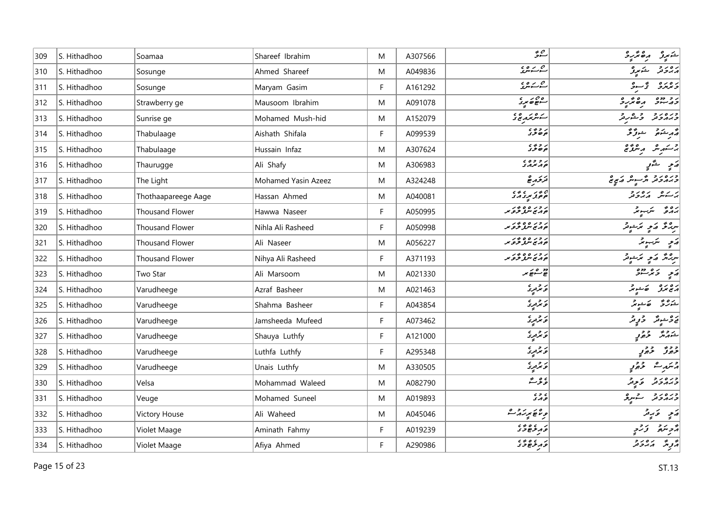| 309 | S. Hithadhoo | Soamaa                 | Shareef Ibrahim     | M  | A307566 | مشوشح                                   | ەرھ ئ <sup>ۆ</sup> ر ۋ<br> شەمرۇ        |
|-----|--------------|------------------------|---------------------|----|---------|-----------------------------------------|-----------------------------------------|
| 310 | S. Hithadhoo | Sosunge                | Ahmed Shareef       | M  | A049836 | <u>م ئەيرو،</u>                         | پرور و<br>ے مورثی                       |
| 311 | S. Hithadhoo | Sosunge                | Maryam Gasim        | F  | A161292 | <u>مریم مری</u>                         | ر ه ر ه<br><del>د</del> بربرگ           |
| 312 | S. Hithadhoo | Strawberry ge          | Mausoom Ibrahim     | M  | A091078 | $rac{1}{2}$                             | ر د دده<br>وړ سرو<br>مەھمەر ۋ           |
| 313 | S. Hithadhoo | Sunrise ge             | Mohamed Mush-hid    | M  | A152079 | ر<br>سەنئەتلەر <i>يى</i> ئ              | تر شەر تر<br>و ر ه ر و<br>و بر د تر تر  |
| 314 | S. Hithadhoo | Thabulaage             | Aishath Shifala     | F  | A099539 | ر د د ،<br>می خرد                       | ۇرىشقى ئىرۇقى                           |
| 315 | S. Hithadhoo | Thabulaage             | Hussain Infaz       | M  | A307624 | ر د د ،<br>می ځو ت                      | برسكر شرائد والمتعدي                    |
| 316 | S. Hithadhoo | Thaurugge              | Ali Shafy           | M  | A306983 | ر د د ه ه<br>ح د سرد د                  | ړې ځې <sub>ږ</sub>                      |
| 317 | S. Hithadhoo | The Light              | Mohamed Yasin Azeez | M  | A324248 | ترتزر هح                                | כנסגב קצי-קייר ה'מָץ                    |
| 318 | S. Hithadhoo | Thothaapareege Aage    | Hassan Ahmed        | M  | A040081 | ج پر ر بر بر بر بر<br>حوج پر محمد بر بر | يركبش المرصوح                           |
| 319 | S. Hithadhoo | <b>Thousand Flower</b> | Hawwa Naseer        | F  | A050995 | ر در ۵۵ ور<br>بود. با ملا ترکا بر       | رُوءُ سَرَجِيرُ                         |
| 320 | S. Hithadhoo | Thousand Flower        | Nihla Ali Rasheed   | F. | A050998 | ر ور ۵۵ ور<br>به دې سرتي څو سر          |                                         |
| 321 | S. Hithadhoo | <b>Thousand Flower</b> | Ali Naseer          | M  | A056227 | ر در ۵۵ ور<br>به دې سرتي کلر            | أوسمع المتمر والمحمد                    |
| 322 | S. Hithadhoo | <b>Thousand Flower</b> | Nihya Ali Rasheed   | F  | A371193 | ر ور ۵۵ ور<br>به دې سرتي توکو سر        | سر <i>ده کمی تر</i> شونر                |
| 323 | S. Hithadhoo | Two Star               | Ali Marsoom         | M  | A021330 | دد صريح پر                              | أەيم دىر دوە                            |
| 324 | S. Hithadhoo | Varudheege             | Azraf Basheer       | M  | A021463 | ر و<br>حرموری                           | ره ره<br>دی برق ځې شوبر                 |
| 325 | S. Hithadhoo | Varudheege             | Shahma Basheer      | F  | A043854 | ر ج مرد ري<br>حر مرد پر                 | لتذرو كالمتولا                          |
| 326 | S. Hithadhoo | Varudheege             | Jamsheeda Mufeed    | F  | A073462 | ئە تەرىخ<br>  قەسمەسىرى                 | ق ئ شبِعَد = ق تٍ مِرَّ                 |
| 327 | S. Hithadhoo | Varudheege             | Shauya Luthfy       | F. | A121000 | ر و<br>حرمرتور                          | أختمدش الحجومي                          |
| 328 | S. Hithadhoo | Varudheege             | Luthfa Luthfy       | F  | A295348 | پر چ <sub>وپر</sub> ي<br>  توسموپوری    | ووو وو                                  |
| 329 | S. Hithadhoo | Varudheege             | Unais Luthfy        | M  | A330505 | د جرمړ د                                | ە ئىر ئىس ئۇچ <sub>ۇ</sub> ر            |
| 330 | S. Hithadhoo | Velsa                  | Mohammad Waleed     | M  | A082790 | ه و مهٔ<br>حرمتهٔ                       | ورەر دىر د                              |
| 331 | S. Hithadhoo | Veuge                  | Mohamed Suneel      | M  | A019893 |                                         | و رە ر د<br><i>د بر</i> بر تر<br>سەبىرى |
| 332 | S. Hithadhoo | <b>Victory House</b>   | Ali Waheed          | M  | A045046 | ە ئەھ ئىرىر <i>مە</i> ر                 | ە ئەرە                                  |
| 333 | S. Hithadhoo | Violet Maage           | Aminath Fahmy       | F  | A019239 | ر په ووي<br><i>و</i> ر ژوڅر             | أرمز<br>وكرحي                           |
| 334 | S. Hithadhoo | Violet Maage           | Afiya Ahmed         | F  | A290986 | ر پروه و <sup>پ</sup>                   | ו היה היה היה בית.<br>הנות ההכת         |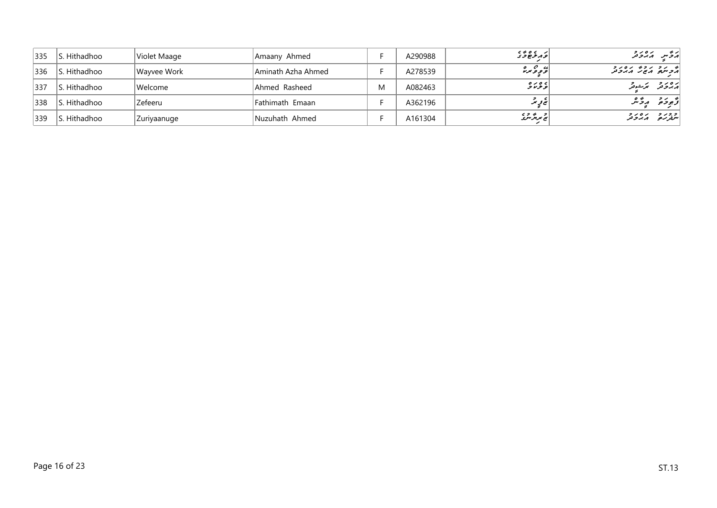| 335 | l S. Hithadhoo | Violet Maage | Amaany Ahmed        |   | A290988 | د مره و د ،                                 | أبرش برور و                            |
|-----|----------------|--------------|---------------------|---|---------|---------------------------------------------|----------------------------------------|
| 336 | l S. Hithadhoo | Wayvee Work  | lAminath Azha Ahmed |   | A278539 | ء ہ م رہ                                    | ه درو دوه ده دو                        |
| 337 | l S. Hithadhoo | Welcome      | Ahmed Rasheed       | M | A082463 | ء ورء                                       | پروژو کرشونر                           |
| 338 | l S. Hithadhoo | Zefeeru      | lFathimath Emaan    |   | A362196 | سے تر سر                                    | ەر ئەشر<br>フィージ<br>الزجوحرحر           |
| 339 | l S. Hithadhoo | Zuriyaanuge  | Nuzuhath Ahmed      |   | A161304 | ج بر پڑ پر د<br> ہج بر ہڑ سر <sub>ک</sub> ہ | 222 - 2017<br>  سرفر <i>107 - 20</i> 1 |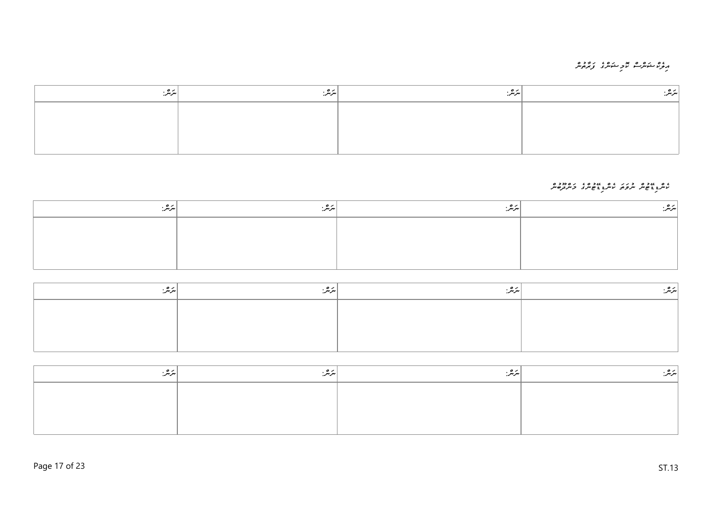## *w7qAn8m?sCw7mRo>u;wEw7mRw;sBo<*

| ' مرمر | 'يئرىثر: |
|--------|----------|
|        |          |
|        |          |
|        |          |

## *w7q9r@w7m>sCw7qHtFoFw7s;mAm=q7w7qHtFoFw7s;*

| ىر تە | $\mathcal{O} \times$<br>$\sim$ | $\sim$<br>. . | لترنثر |
|-------|--------------------------------|---------------|--------|
|       |                                |               |        |
|       |                                |               |        |
|       |                                |               |        |

| $\frac{2}{n}$ | $\overline{\phantom{a}}$ | اير هنه. | $\mathcal{O} \times$<br>سرسر |
|---------------|--------------------------|----------|------------------------------|
|               |                          |          |                              |
|               |                          |          |                              |
|               |                          |          |                              |

| ' ئىرتىر: | سر سر |  |
|-----------|-------|--|
|           |       |  |
|           |       |  |
|           |       |  |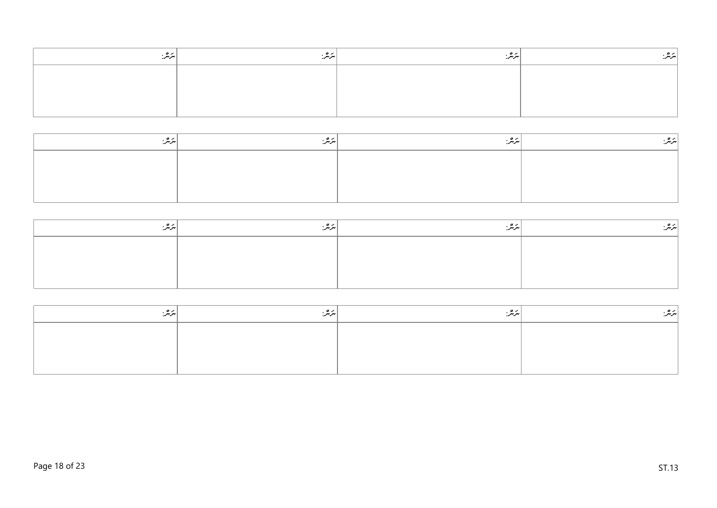| يزهر | $^{\circ}$ | ىئرىتر: |  |
|------|------------|---------|--|
|      |            |         |  |
|      |            |         |  |
|      |            |         |  |

| <sup>.</sup> سرسر. |  |
|--------------------|--|
|                    |  |
|                    |  |
|                    |  |

| ىئرىتر. | $\sim$ | ا بر هه. | لىرىش |
|---------|--------|----------|-------|
|         |        |          |       |
|         |        |          |       |
|         |        |          |       |

| يترمثر | $^{\circ}$ | ىر پىر |
|--------|------------|--------|
|        |            |        |
|        |            |        |
|        |            |        |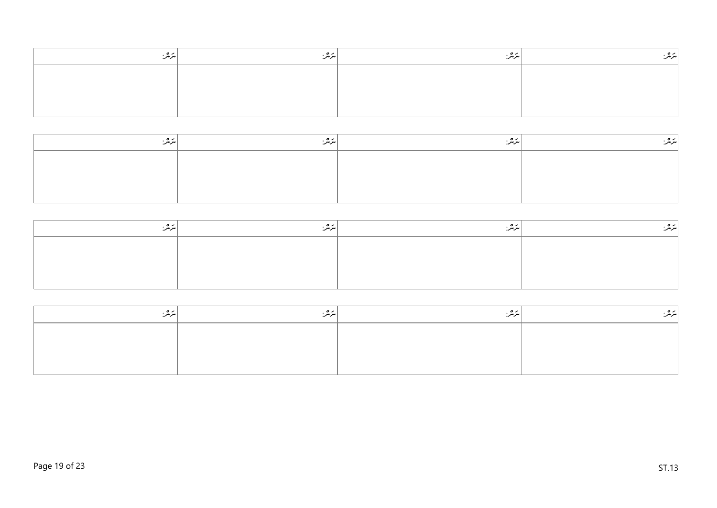| ير هو . | $\overline{\phantom{a}}$ | يرمر | اير هنه. |
|---------|--------------------------|------|----------|
|         |                          |      |          |
|         |                          |      |          |
|         |                          |      |          |

| ىر تىر: | $\circ$ $\sim$<br>" سرسر . | يبرحه | o . |
|---------|----------------------------|-------|-----|
|         |                            |       |     |
|         |                            |       |     |
|         |                            |       |     |

| كترنثر: | 。 | 。<br>سرسر. | o <i>~</i> |
|---------|---|------------|------------|
|         |   |            |            |
|         |   |            |            |
|         |   |            |            |

|  | . ه |
|--|-----|
|  |     |
|  |     |
|  |     |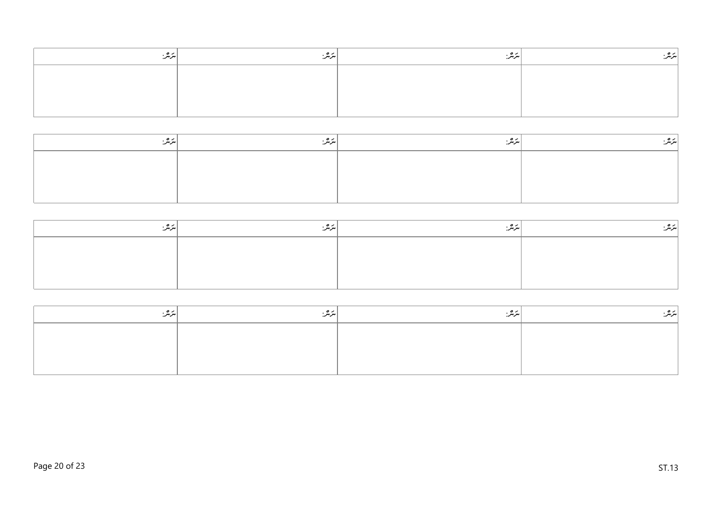| ير هو . | $\overline{\phantom{a}}$ | يرمر | اير هنه. |
|---------|--------------------------|------|----------|
|         |                          |      |          |
|         |                          |      |          |
|         |                          |      |          |

| ئىرتىر: | $\sim$<br>ا سرسر . | يئرمثر | o . |
|---------|--------------------|--------|-----|
|         |                    |        |     |
|         |                    |        |     |
|         |                    |        |     |

| ابترىثر: | $\sim$<br>. . |  |
|----------|---------------|--|
|          |               |  |
|          |               |  |
|          |               |  |

| 。 |  |  |
|---|--|--|
|   |  |  |
|   |  |  |
|   |  |  |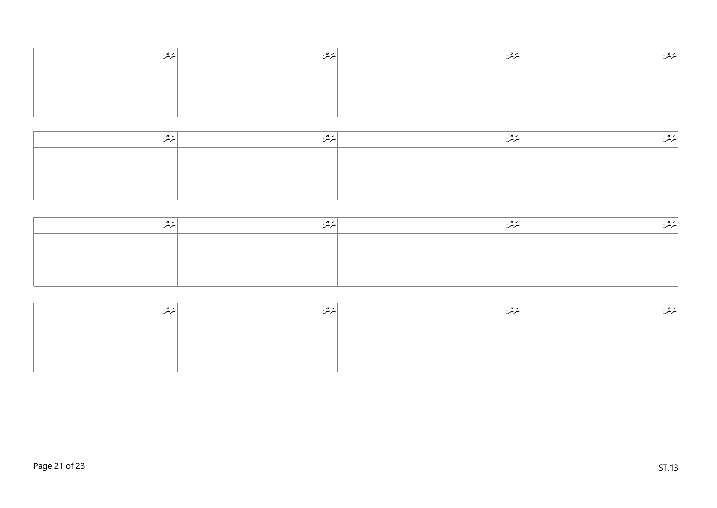| $\cdot$ | 。 | $\frac{\circ}{\cdot}$ | $\sim$<br>سرسر |
|---------|---|-----------------------|----------------|
|         |   |                       |                |
|         |   |                       |                |
|         |   |                       |                |

| ايرعر: | ر ه<br>. . |  |
|--------|------------|--|
|        |            |  |
|        |            |  |
|        |            |  |

| بر ه | . ه | $\overline{\phantom{0}}$<br>سرسر |  |
|------|-----|----------------------------------|--|
|      |     |                                  |  |
|      |     |                                  |  |
|      |     |                                  |  |

| 。<br>. س | ىرىىر |  |
|----------|-------|--|
|          |       |  |
|          |       |  |
|          |       |  |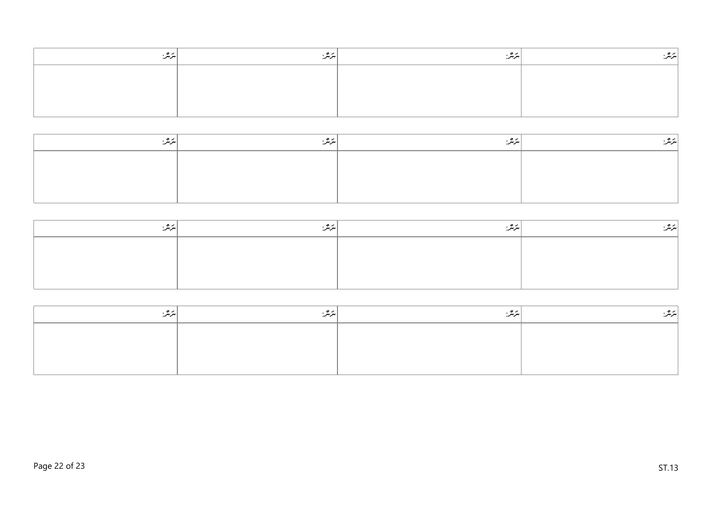| ير هو . | $\overline{\phantom{a}}$ | يرمر | اير هنه. |
|---------|--------------------------|------|----------|
|         |                          |      |          |
|         |                          |      |          |
|         |                          |      |          |

| ئىرتىر: | $\sim$<br>ا سرسر . | يئرمثر | o . |
|---------|--------------------|--------|-----|
|         |                    |        |     |
|         |                    |        |     |
|         |                    |        |     |

| انترنثر: | ر ه |  |
|----------|-----|--|
|          |     |  |
|          |     |  |
|          |     |  |

|  | . ه |
|--|-----|
|  |     |
|  |     |
|  |     |